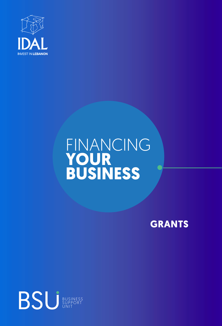

## FINANCING **YOUR BUSINESS**

**GRANTS**

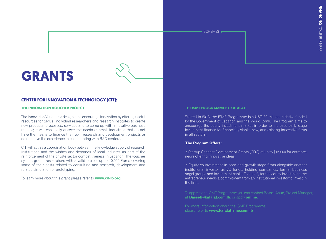SCHEMES  $\bullet$ 

# **GRANTS**

### **CENTER FOR INNOVATION & TECHNOLOGY (CIT):**

#### **THE INNOVATION VOUCHER PROJECT**

The Innovation Voucher is designed to encourage innovation by offering useful resources for SMEs, individual researchers and research institutes to create new products, processes, services and to come up with innovative business models; it will especially answer the needs of small industries that do not have the means to finance their own research and development projects or do not have the experience in collaborating with R&D centers.

CIT will act as a coordination body between the knowledge supply of research institutions and the wishes and demands of local industry, as part of the reinforcement of the private sector competitiveness in Lebanon. The voucher system grants researchers with a valid project up to 10.000 Euros covering some of their costs related to consulting and research, development and related simulation or prototyping.

To learn more about this grant please refer to **[www.cit-lb.org](http://www.cit-lb.org/)**

#### **THE ISME PROGRAMME BY KAFALAT**

Started in 2013, the iSME Programme is a USD 30 million initiative funded by the Government of Lebanon and the World Bank. The Program aims to encourage the equity investment market in order to increase early stage investment finance for financially viable, new, and existing innovative firms in all sectors.

#### **The Program Offers:**

• Startup Concept Development Grants (CDG) of up to \$15,000 for entrepreneurs offering innovative ideas

• Equity co-investment in seed and growth-stage firms alongside another institutional investor as VC funds, holding companies, formal business angel groups and investment banks. To qualify for the equity investment, the entrepreneur needs a commitment from an institutional investor to invest in the firm.

To apply to the iSME Programme you can contact Bassel Aoun, Project Manager, at **Bassel@kafalat.com.lb**, or apply **online**.

For more information about the iSME Programme, please refer to **www.kafalatisme.com.lb**